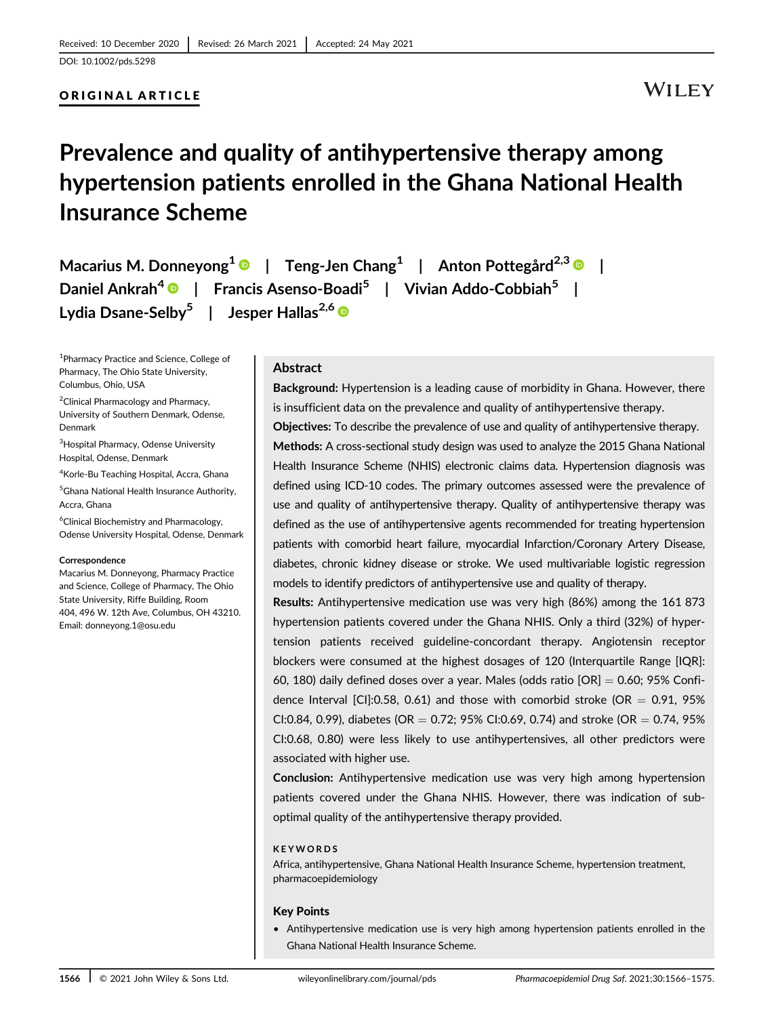#### ORIGINAL ARTICLE

## **WILEY**

# Prevalence and quality of antihypertensive therapy among hypertension patients enrolled in the Ghana National Health Insurance Scheme

Macarius M. Donneyong<sup>1</sup>  $\bullet$  | Teng-Jen Chang<sup>1</sup> | Anton Pottegård<sup>2,3</sup>  $\bullet$  | Daniel Ankrah<sup>4</sup> | Francis Asenso-Boadi<sup>5</sup> | Vivian Addo-Cobbiah<sup>5</sup> | Lydia Dsane-Selby<sup>5</sup> | Jesper Hallas<sup>2,6</sup>

1 Pharmacy Practice and Science, College of Pharmacy, The Ohio State University, Columbus, Ohio, USA

<sup>2</sup> Clinical Pharmacology and Pharmacy, University of Southern Denmark, Odense, Denmark

<sup>3</sup> Hospital Pharmacy, Odense University Hospital, Odense, Denmark

4 Korle-Bu Teaching Hospital, Accra, Ghana

5 Ghana National Health Insurance Authority, Accra, Ghana

6 Clinical Biochemistry and Pharmacology, Odense University Hospital, Odense, Denmark

#### **Correspondence**

Macarius M. Donneyong, Pharmacy Practice and Science, College of Pharmacy, The Ohio State University, Riffe Building, Room 404, 496 W. 12th Ave, Columbus, OH 43210. Email: [donneyong.1@osu.edu](mailto:donneyong.1@osu.edu)

#### Abstract

Background: Hypertension is a leading cause of morbidity in Ghana. However, there is insufficient data on the prevalence and quality of antihypertensive therapy.

Objectives: To describe the prevalence of use and quality of antihypertensive therapy. Methods: A cross-sectional study design was used to analyze the 2015 Ghana National Health Insurance Scheme (NHIS) electronic claims data. Hypertension diagnosis was defined using ICD-10 codes. The primary outcomes assessed were the prevalence of use and quality of antihypertensive therapy. Quality of antihypertensive therapy was defined as the use of antihypertensive agents recommended for treating hypertension patients with comorbid heart failure, myocardial Infarction/Coronary Artery Disease, diabetes, chronic kidney disease or stroke. We used multivariable logistic regression models to identify predictors of antihypertensive use and quality of therapy.

Results: Antihypertensive medication use was very high (86%) among the 161 873 hypertension patients covered under the Ghana NHIS. Only a third (32%) of hypertension patients received guideline-concordant therapy. Angiotensin receptor blockers were consumed at the highest dosages of 120 (Interquartile Range [IQR]: 60, 180) daily defined doses over a year. Males (odds ratio  $[OR] = 0.60$ ; 95% Confidence Interval  $\left[$ Cl $\right]$ :0.58, 0.61) and those with comorbid stroke (OR = 0.91, 95% CI:0.84, 0.99), diabetes (OR = 0.72; 95% CI:0.69, 0.74) and stroke (OR = 0.74, 95% CI:0.68, 0.80) were less likely to use antihypertensives, all other predictors were associated with higher use.

Conclusion: Antihypertensive medication use was very high among hypertension patients covered under the Ghana NHIS. However, there was indication of suboptimal quality of the antihypertensive therapy provided.

#### **KEYWORDS**

Africa, antihypertensive, Ghana National Health Insurance Scheme, hypertension treatment, pharmacoepidemiology

#### Key Points

• Antihypertensive medication use is very high among hypertension patients enrolled in the Ghana National Health Insurance Scheme.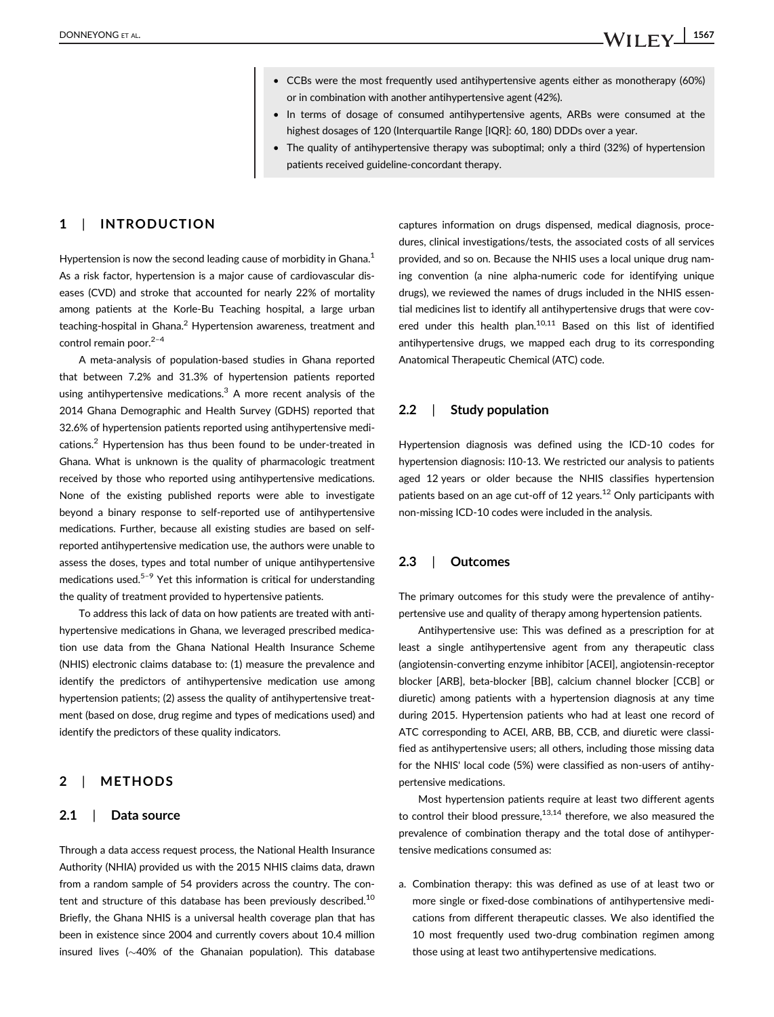- CCBs were the most frequently used antihypertensive agents either as monotherapy (60%) or in combination with another antihypertensive agent (42%).
- In terms of dosage of consumed antihypertensive agents, ARBs were consumed at the highest dosages of 120 (Interquartile Range [IQR]: 60, 180) DDDs over a year.
- The quality of antihypertensive therapy was suboptimal; only a third (32%) of hypertension patients received guideline-concordant therapy.

#### 1 | INTRODUCTION

Hypertension is now the second leading cause of morbidity in Ghana. $<sup>1</sup>$ </sup> As a risk factor, hypertension is a major cause of cardiovascular diseases (CVD) and stroke that accounted for nearly 22% of mortality among patients at the Korle-Bu Teaching hospital, a large urban teaching-hospital in Ghana.<sup>2</sup> Hypertension awareness, treatment and control remain poor. $2-4$ 

A meta-analysis of population-based studies in Ghana reported that between 7.2% and 31.3% of hypertension patients reported using antihypertensive medications.<sup>3</sup> A more recent analysis of the 2014 Ghana Demographic and Health Survey (GDHS) reported that 32.6% of hypertension patients reported using antihypertensive medications.2 Hypertension has thus been found to be under-treated in Ghana. What is unknown is the quality of pharmacologic treatment received by those who reported using antihypertensive medications. None of the existing published reports were able to investigate beyond a binary response to self-reported use of antihypertensive medications. Further, because all existing studies are based on selfreported antihypertensive medication use, the authors were unable to assess the doses, types and total number of unique antihypertensive medications used. $5-9$  Yet this information is critical for understanding the quality of treatment provided to hypertensive patients.

To address this lack of data on how patients are treated with antihypertensive medications in Ghana, we leveraged prescribed medication use data from the Ghana National Health Insurance Scheme (NHIS) electronic claims database to: (1) measure the prevalence and identify the predictors of antihypertensive medication use among hypertension patients; (2) assess the quality of antihypertensive treatment (based on dose, drug regime and types of medications used) and identify the predictors of these quality indicators.

#### 2 | METHODS

#### 2.1 | Data source

Through a data access request process, the National Health Insurance Authority (NHIA) provided us with the 2015 NHIS claims data, drawn from a random sample of 54 providers across the country. The content and structure of this database has been previously described.<sup>10</sup> Briefly, the Ghana NHIS is a universal health coverage plan that has been in existence since 2004 and currently covers about 10.4 million insured lives  $(\sim40\%$  of the Ghanaian population). This database

captures information on drugs dispensed, medical diagnosis, procedures, clinical investigations/tests, the associated costs of all services provided, and so on. Because the NHIS uses a local unique drug naming convention (a nine alpha-numeric code for identifying unique drugs), we reviewed the names of drugs included in the NHIS essential medicines list to identify all antihypertensive drugs that were covered under this health plan.<sup>10,11</sup> Based on this list of identified antihypertensive drugs, we mapped each drug to its corresponding Anatomical Therapeutic Chemical (ATC) code.

#### 2.2 | Study population

Hypertension diagnosis was defined using the ICD-10 codes for hypertension diagnosis: I10-13. We restricted our analysis to patients aged 12 years or older because the NHIS classifies hypertension patients based on an age cut-off of 12 years.<sup>12</sup> Only participants with non-missing ICD-10 codes were included in the analysis.

#### 2.3 | Outcomes

The primary outcomes for this study were the prevalence of antihypertensive use and quality of therapy among hypertension patients.

Antihypertensive use: This was defined as a prescription for at least a single antihypertensive agent from any therapeutic class (angiotensin-converting enzyme inhibitor [ACEI], angiotensin-receptor blocker [ARB], beta-blocker [BB], calcium channel blocker [CCB] or diuretic) among patients with a hypertension diagnosis at any time during 2015. Hypertension patients who had at least one record of ATC corresponding to ACEI, ARB, BB, CCB, and diuretic were classified as antihypertensive users; all others, including those missing data for the NHIS' local code (5%) were classified as non-users of antihypertensive medications.

Most hypertension patients require at least two different agents to control their blood pressure, $13,14$  therefore, we also measured the prevalence of combination therapy and the total dose of antihypertensive medications consumed as:

a. Combination therapy: this was defined as use of at least two or more single or fixed-dose combinations of antihypertensive medications from different therapeutic classes. We also identified the 10 most frequently used two-drug combination regimen among those using at least two antihypertensive medications.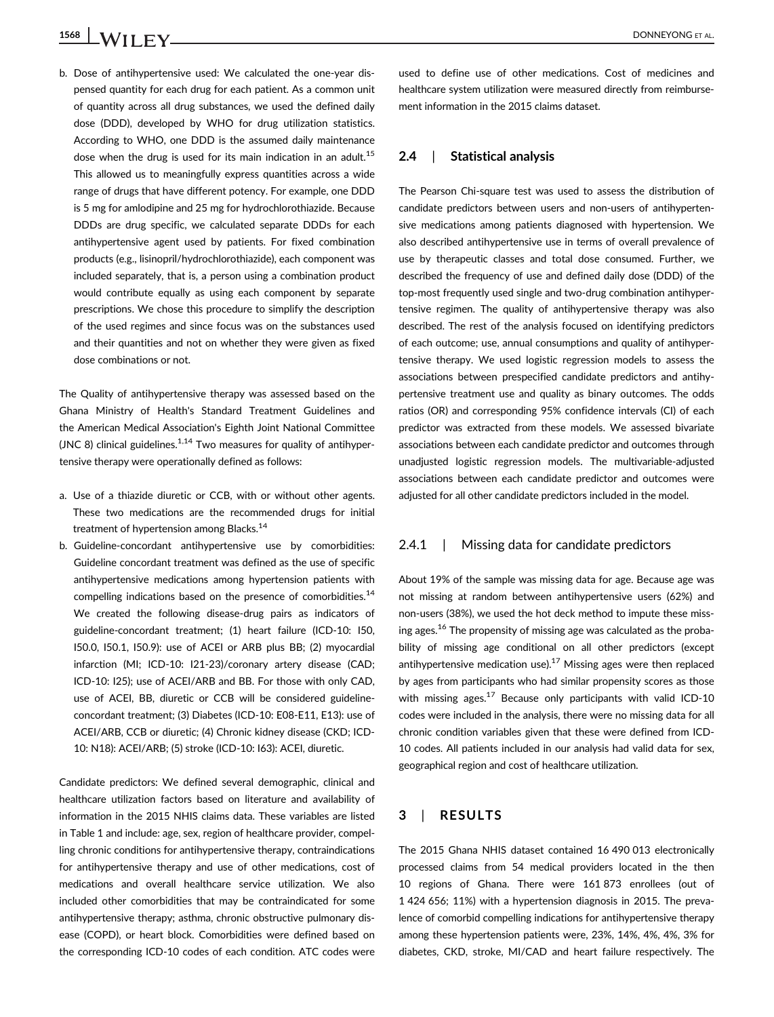b. Dose of antihypertensive used: We calculated the one-year dispensed quantity for each drug for each patient. As a common unit of quantity across all drug substances, we used the defined daily dose (DDD), developed by WHO for drug utilization statistics. According to WHO, one DDD is the assumed daily maintenance dose when the drug is used for its main indication in an adult.<sup>15</sup> This allowed us to meaningfully express quantities across a wide range of drugs that have different potency. For example, one DDD is 5 mg for amlodipine and 25 mg for hydrochlorothiazide. Because DDDs are drug specific, we calculated separate DDDs for each antihypertensive agent used by patients. For fixed combination products (e.g., lisinopril/hydrochlorothiazide), each component was included separately, that is, a person using a combination product would contribute equally as using each component by separate prescriptions. We chose this procedure to simplify the description of the used regimes and since focus was on the substances used and their quantities and not on whether they were given as fixed dose combinations or not.

The Quality of antihypertensive therapy was assessed based on the Ghana Ministry of Health's Standard Treatment Guidelines and the American Medical Association's Eighth Joint National Committee (JNC 8) clinical guidelines.<sup>1,14</sup> Two measures for quality of antihypertensive therapy were operationally defined as follows:

- a. Use of a thiazide diuretic or CCB, with or without other agents. These two medications are the recommended drugs for initial treatment of hypertension among Blacks.<sup>14</sup>
- b. Guideline-concordant antihypertensive use by comorbidities: Guideline concordant treatment was defined as the use of specific antihypertensive medications among hypertension patients with compelling indications based on the presence of comorbidities.<sup>14</sup> We created the following disease-drug pairs as indicators of guideline-concordant treatment; (1) heart failure (ICD-10: I50, I50.0, I50.1, I50.9): use of ACEI or ARB plus BB; (2) myocardial infarction (MI; ICD-10: I21-23)/coronary artery disease (CAD; ICD-10: I25); use of ACEI/ARB and BB. For those with only CAD, use of ACEI, BB, diuretic or CCB will be considered guidelineconcordant treatment; (3) Diabetes (ICD-10: E08-E11, E13): use of ACEI/ARB, CCB or diuretic; (4) Chronic kidney disease (CKD; ICD-10: N18): ACEI/ARB; (5) stroke (ICD-10: I63): ACEI, diuretic.

Candidate predictors: We defined several demographic, clinical and healthcare utilization factors based on literature and availability of information in the 2015 NHIS claims data. These variables are listed in Table 1 and include: age, sex, region of healthcare provider, compelling chronic conditions for antihypertensive therapy, contraindications for antihypertensive therapy and use of other medications, cost of medications and overall healthcare service utilization. We also included other comorbidities that may be contraindicated for some antihypertensive therapy; asthma, chronic obstructive pulmonary disease (COPD), or heart block. Comorbidities were defined based on the corresponding ICD-10 codes of each condition. ATC codes were used to define use of other medications. Cost of medicines and healthcare system utilization were measured directly from reimbursement information in the 2015 claims dataset.

#### 2.4 | Statistical analysis

The Pearson Chi-square test was used to assess the distribution of candidate predictors between users and non-users of antihypertensive medications among patients diagnosed with hypertension. We also described antihypertensive use in terms of overall prevalence of use by therapeutic classes and total dose consumed. Further, we described the frequency of use and defined daily dose (DDD) of the top-most frequently used single and two-drug combination antihypertensive regimen. The quality of antihypertensive therapy was also described. The rest of the analysis focused on identifying predictors of each outcome; use, annual consumptions and quality of antihypertensive therapy. We used logistic regression models to assess the associations between prespecified candidate predictors and antihypertensive treatment use and quality as binary outcomes. The odds ratios (OR) and corresponding 95% confidence intervals (CI) of each predictor was extracted from these models. We assessed bivariate associations between each candidate predictor and outcomes through unadjusted logistic regression models. The multivariable-adjusted associations between each candidate predictor and outcomes were adjusted for all other candidate predictors included in the model.

#### 2.4.1 | Missing data for candidate predictors

About 19% of the sample was missing data for age. Because age was not missing at random between antihypertensive users (62%) and non-users (38%), we used the hot deck method to impute these missing ages.<sup>16</sup> The propensity of missing age was calculated as the probability of missing age conditional on all other predictors (except antihypertensive medication use).<sup>17</sup> Missing ages were then replaced by ages from participants who had similar propensity scores as those with missing ages. $17$  Because only participants with valid ICD-10 codes were included in the analysis, there were no missing data for all chronic condition variables given that these were defined from ICD-10 codes. All patients included in our analysis had valid data for sex, geographical region and cost of healthcare utilization.

#### 3 | RESULTS

The 2015 Ghana NHIS dataset contained 16 490 013 electronically processed claims from 54 medical providers located in the then 10 regions of Ghana. There were 161 873 enrollees (out of 1 424 656; 11%) with a hypertension diagnosis in 2015. The prevalence of comorbid compelling indications for antihypertensive therapy among these hypertension patients were, 23%, 14%, 4%, 4%, 3% for diabetes, CKD, stroke, MI/CAD and heart failure respectively. The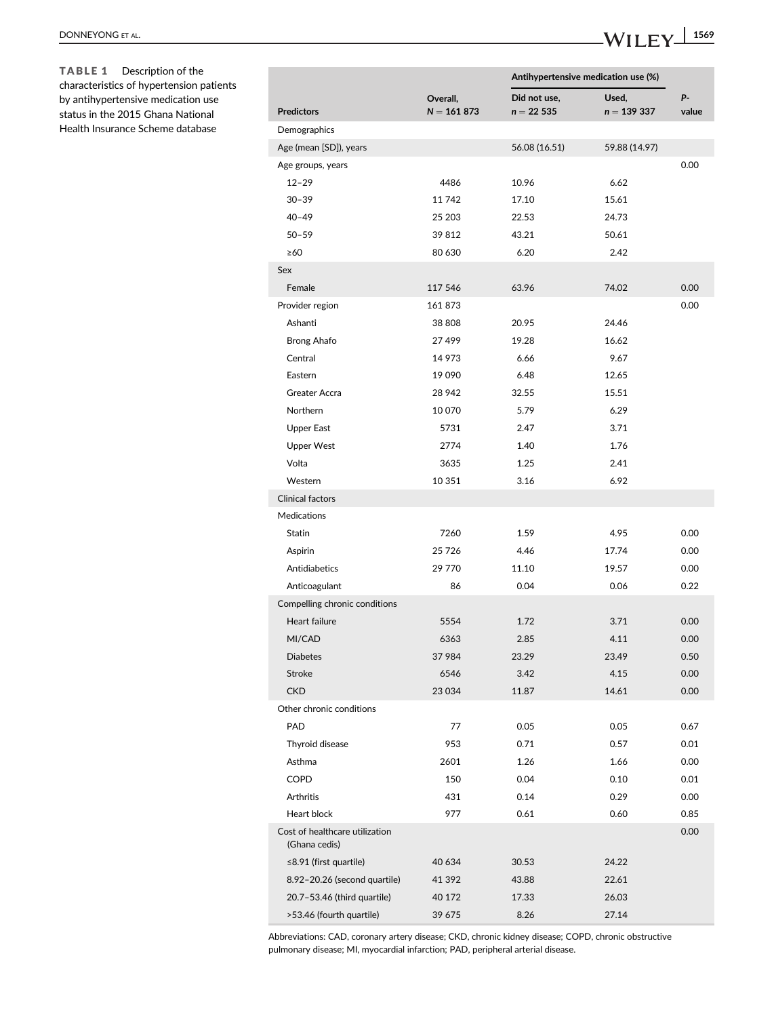|                                                 |                           |                             | Antihypertensive medication use (%) |                     |  |
|-------------------------------------------------|---------------------------|-----------------------------|-------------------------------------|---------------------|--|
| <b>Predictors</b>                               | Overall,<br>$N = 161 873$ | Did not use.<br>$n = 22535$ | Used,<br>$n = 139337$               | <b>p</b> .<br>value |  |
| Demographics                                    |                           |                             |                                     |                     |  |
| Age (mean [SD]), years                          |                           | 56.08 (16.51)               | 59.88 (14.97)                       |                     |  |
| Age groups, years                               |                           |                             |                                     | 0.00                |  |
| $12 - 29$                                       | 4486                      | 10.96                       | 6.62                                |                     |  |
| $30 - 39$                                       | 11 742                    | 17.10                       | 15.61                               |                     |  |
| $40 - 49$                                       | 25 203                    | 22.53                       | 24.73                               |                     |  |
| $50 - 59$                                       | 39 812                    | 43.21                       | 50.61                               |                     |  |
| $\geq 60$                                       | 80 630                    | 6.20                        | 2.42                                |                     |  |
| Sex                                             |                           |                             |                                     |                     |  |
| Female                                          | 117 546                   | 63.96                       | 74.02                               | 0.00                |  |
| Provider region                                 | 161 873                   |                             |                                     | 0.00                |  |
| Ashanti                                         | 38 808                    | 20.95                       | 24.46                               |                     |  |
| <b>Brong Ahafo</b>                              | 27 499                    | 19.28                       | 16.62                               |                     |  |
| Central                                         | 14 973                    | 6.66                        | 9.67                                |                     |  |
| Eastern                                         | 19 090                    | 6.48                        | 12.65                               |                     |  |
| Greater Accra                                   | 28 942                    | 32.55                       | 15.51                               |                     |  |
| Northern                                        | 10 070                    | 5.79                        | 6.29                                |                     |  |
| Upper East                                      | 5731                      | 2.47                        | 3.71                                |                     |  |
| <b>Upper West</b>                               | 2774                      | 1.40                        | 1.76                                |                     |  |
| Volta                                           | 3635                      | 1.25                        | 2.41                                |                     |  |
| Western                                         | 10 351                    | 3.16                        | 6.92                                |                     |  |
| Clinical factors                                |                           |                             |                                     |                     |  |
| <b>Medications</b>                              |                           |                             |                                     |                     |  |
| Statin                                          | 7260                      | 1.59                        | 4.95                                | 0.00                |  |
| Aspirin                                         | 25 7 26                   | 4.46                        | 17.74                               | 0.00                |  |
| Antidiabetics                                   | 29 770                    | 11.10                       | 19.57                               | 0.00                |  |
| Anticoagulant                                   | 86                        | 0.04                        | 0.06                                | 0.22                |  |
| Compelling chronic conditions                   |                           |                             |                                     |                     |  |
| Heart failure                                   | 5554                      | 1.72                        | 3.71                                | 0.00                |  |
| MI/CAD                                          | 6363                      | 2.85                        | 4.11                                | 0.00                |  |
| <b>Diabetes</b>                                 | 37 984                    | 23.29                       | 23.49                               | 0.50                |  |
| Stroke                                          | 6546                      | 3.42                        | 4.15                                | 0.00                |  |
| <b>CKD</b>                                      | 23 0 34                   | 11.87                       | 14.61                               | 0.00                |  |
| Other chronic conditions                        |                           |                             |                                     |                     |  |
| PAD                                             | 77                        | 0.05                        | 0.05                                | 0.67                |  |
| Thyroid disease                                 | 953                       | 0.71                        | 0.57                                | 0.01                |  |
| Asthma                                          | 2601                      | 1.26                        | 1.66                                | 0.00                |  |
| COPD                                            | 150                       | 0.04                        | 0.10                                | 0.01                |  |
| Arthritis                                       | 431                       | 0.14                        | 0.29                                | 0.00                |  |
| Heart block                                     | 977                       | 0.61                        | 0.60                                | 0.85                |  |
| Cost of healthcare utilization<br>(Ghana cedis) |                           |                             |                                     | 0.00                |  |
| $\leq$ 8.91 (first quartile)                    | 40 634                    | 30.53                       | 24.22                               |                     |  |
| 8.92-20.26 (second quartile)                    | 41 392                    | 43.88                       | 22.61                               |                     |  |
| 20.7-53.46 (third quartile)                     | 40 172                    | 17.33                       | 26.03                               |                     |  |
| >53.46 (fourth quartile)                        | 39 675                    | 8.26                        | 27.14                               |                     |  |

Abbreviations: CAD, coronary artery disease; CKD, chronic kidney disease; COPD, chronic obstructive pulmonary disease; MI, myocardial infarction; PAD, peripheral arterial disease.

TABLE 1 Description of the characteristics of hypertension patients by antihypertensive medication use status in the 2015 Ghana National Health Insurance Scheme database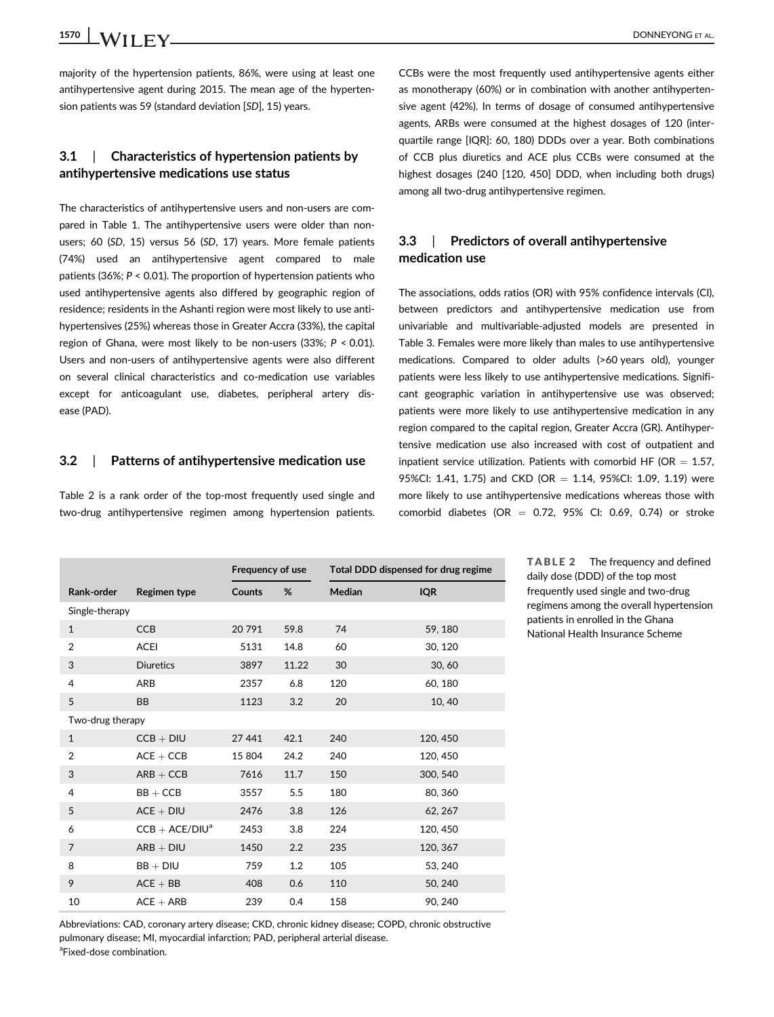## 1570 **WII FV** DONNEYONG ET AL.

majority of the hypertension patients, 86%, were using at least one antihypertensive agent during 2015. The mean age of the hypertension patients was 59 (standard deviation [SD], 15) years.

#### 3.1 | Characteristics of hypertension patients by antihypertensive medications use status

The characteristics of antihypertensive users and non-users are compared in Table 1. The antihypertensive users were older than nonusers; 60 (SD, 15) versus 56 (SD, 17) years. More female patients (74%) used an antihypertensive agent compared to male patients (36%; P < 0.01). The proportion of hypertension patients who used antihypertensive agents also differed by geographic region of residence; residents in the Ashanti region were most likely to use antihypertensives (25%) whereas those in Greater Accra (33%), the capital region of Ghana, were most likely to be non-users (33%; P < 0.01). Users and non-users of antihypertensive agents were also different on several clinical characteristics and co-medication use variables except for anticoagulant use, diabetes, peripheral artery disease (PAD).

#### 3.2 | Patterns of antihypertensive medication use

Table 2 is a rank order of the top-most frequently used single and two-drug antihypertensive regimen among hypertension patients.

CCBs were the most frequently used antihypertensive agents either as monotherapy (60%) or in combination with another antihypertensive agent (42%). In terms of dosage of consumed antihypertensive agents, ARBs were consumed at the highest dosages of 120 (interquartile range [IQR]: 60, 180) DDDs over a year. Both combinations of CCB plus diuretics and ACE plus CCBs were consumed at the highest dosages (240 [120, 450] DDD, when including both drugs) among all two-drug antihypertensive regimen.

#### 3.3 | Predictors of overall antihypertensive medication use

The associations, odds ratios (OR) with 95% confidence intervals (CI), between predictors and antihypertensive medication use from univariable and multivariable-adjusted models are presented in Table 3. Females were more likely than males to use antihypertensive medications. Compared to older adults (>60 years old), younger patients were less likely to use antihypertensive medications. Significant geographic variation in antihypertensive use was observed; patients were more likely to use antihypertensive medication in any region compared to the capital region, Greater Accra (GR). Antihypertensive medication use also increased with cost of outpatient and inpatient service utilization. Patients with comorbid HF (OR  $= 1.57$ , 95%CI: 1.41, 1.75) and CKD (OR = 1.14, 95%CI: 1.09, 1.19) were more likely to use antihypertensive medications whereas those with comorbid diabetes (OR  $=$  0.72, 95% CI: 0.69, 0.74) or stroke

|                  |                  | Frequency of use |       | Total DDD dispensed for drug regime |            |  |
|------------------|------------------|------------------|-------|-------------------------------------|------------|--|
| Rank-order       | Regimen type     | <b>Counts</b>    | %     | Median                              | <b>IQR</b> |  |
| Single-therapy   |                  |                  |       |                                     |            |  |
| $\mathbf{1}$     | <b>CCB</b>       | 20791            | 59.8  | 74                                  | 59, 180    |  |
| $\overline{2}$   | <b>ACEI</b>      | 5131             | 14.8  | 60                                  | 30, 120    |  |
| 3                | <b>Diuretics</b> | 3897             | 11.22 | 30                                  | 30, 60     |  |
| $\overline{4}$   | ARB              | 2357             | 6.8   | 120                                 | 60, 180    |  |
| 5                | <b>BB</b>        | 1123             | 3.2   | 20                                  | 10,40      |  |
| Two-drug therapy |                  |                  |       |                                     |            |  |
| $\mathbf{1}$     | $CCB + DIU$      | 27 441           | 42.1  | 240                                 | 120, 450   |  |
| $\overline{2}$   | $ACE + CCB$      | 15 804           | 24.2  | 240                                 | 120, 450   |  |
| 3                | $ARB + CCB$      | 7616             | 11.7  | 150                                 | 300, 540   |  |
| 4                | $BB + CCB$       | 3557             | 5.5   | 180                                 | 80, 360    |  |
| 5                | $ACE + DIU$      | 2476             | 3.8   | 126                                 | 62, 267    |  |
| 6                | $CCB + ACE/DIUa$ | 2453             | 3.8   | 224                                 | 120, 450   |  |
| $\overline{7}$   | $ARB + DIU$      | 1450             | 2.2   | 235                                 | 120, 367   |  |
| 8                | $BB + DIU$       | 759              | 1.2   | 105                                 | 53, 240    |  |
| 9                | $ACE + BB$       | 408              | 0.6   | 110                                 | 50, 240    |  |
| 10               | $ACE + ARB$      | 239              | 0.4   | 158                                 | 90, 240    |  |

TABLE 2 The frequency and defined daily dose (DDD) of the top most frequently used single and two-drug regimens among the overall hypertension patients in enrolled in the Ghana National Health Insurance Scheme

Abbreviations: CAD, coronary artery disease; CKD, chronic kidney disease; COPD, chronic obstructive pulmonary disease; MI, myocardial infarction; PAD, peripheral arterial disease. <sup>a</sup>Fixed-dose combination.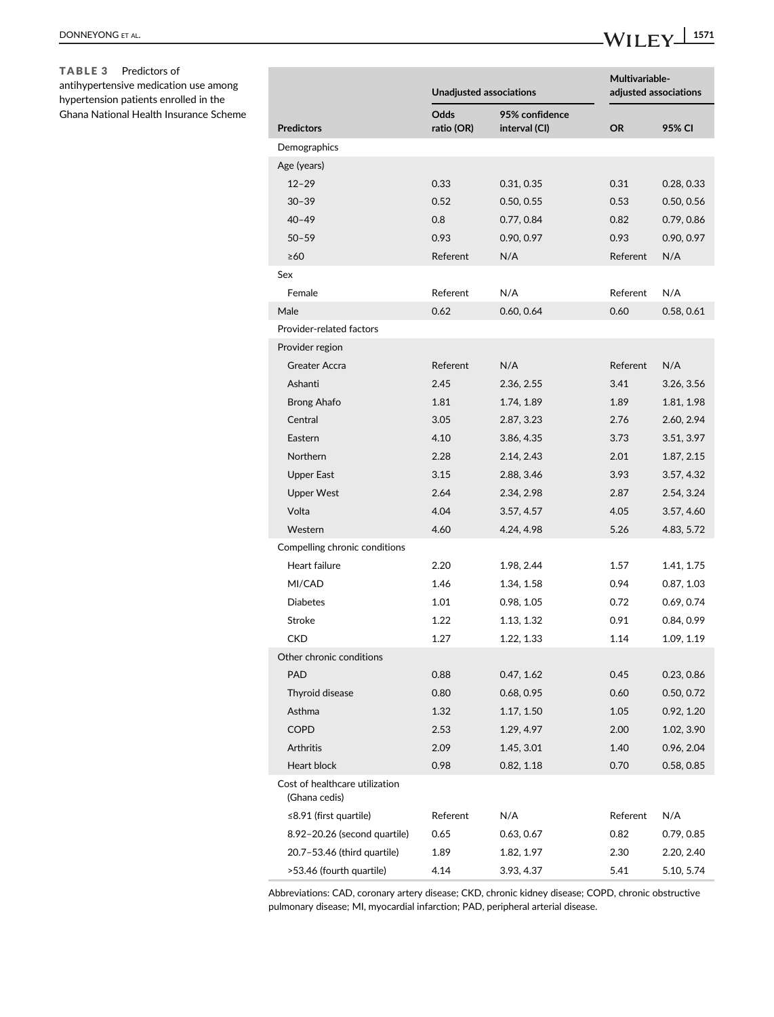TABLE 3 Predictors of antihypertensive medication use among hypertension patients enrolled in the Ghana National Health Insurance Scheme

|                                                 | Unadjusted associations   |                                 |           | Multivariable-<br>adjusted associations |  |  |
|-------------------------------------------------|---------------------------|---------------------------------|-----------|-----------------------------------------|--|--|
| <b>Predictors</b>                               | <b>Odds</b><br>ratio (OR) | 95% confidence<br>interval (CI) | <b>OR</b> | 95% CI                                  |  |  |
| Demographics                                    |                           |                                 |           |                                         |  |  |
| Age (years)                                     |                           |                                 |           |                                         |  |  |
| $12 - 29$                                       | 0.33                      | 0.31, 0.35                      | 0.31      | 0.28, 0.33                              |  |  |
| $30 - 39$                                       | 0.52                      | 0.50, 0.55                      | 0.53      | 0.50, 0.56                              |  |  |
| $40 - 49$                                       | 0.8                       | 0.77, 0.84                      | 0.82      | 0.79, 0.86                              |  |  |
| $50 - 59$                                       | 0.93                      | 0.90, 0.97                      | 0.93      | 0.90, 0.97                              |  |  |
| $\geq 60$                                       | Referent                  | N/A                             | Referent  | N/A                                     |  |  |
| Sex                                             |                           |                                 |           |                                         |  |  |
| Female                                          | Referent                  | N/A                             | Referent  | N/A                                     |  |  |
| Male                                            | 0.62                      | 0.60, 0.64                      | 0.60      | 0.58, 0.61                              |  |  |
| Provider-related factors                        |                           |                                 |           |                                         |  |  |
| Provider region                                 |                           |                                 |           |                                         |  |  |
| <b>Greater Accra</b>                            | Referent                  | N/A                             | Referent  | N/A                                     |  |  |
| Ashanti                                         | 2.45                      | 2.36, 2.55                      | 3.41      | 3.26, 3.56                              |  |  |
| Brong Ahafo                                     | 1.81                      | 1.74, 1.89                      | 1.89      | 1.81, 1.98                              |  |  |
| Central                                         | 3.05                      | 2.87, 3.23                      | 2.76      | 2.60, 2.94                              |  |  |
| Eastern                                         | 4.10                      | 3.86, 4.35                      | 3.73      | 3.51, 3.97                              |  |  |
| <b>Northern</b>                                 | 2.28                      | 2.14, 2.43                      | 2.01      | 1.87, 2.15                              |  |  |
| Upper East                                      | 3.15                      | 2.88, 3.46                      | 3.93      | 3.57, 4.32                              |  |  |
| <b>Upper West</b>                               | 2.64                      | 2.34, 2.98                      | 2.87      | 2.54, 3.24                              |  |  |
| Volta                                           | 4.04                      | 3.57, 4.57                      | 4.05      | 3.57, 4.60                              |  |  |
| Western                                         | 4.60                      | 4.24, 4.98                      | 5.26      | 4.83, 5.72                              |  |  |
| Compelling chronic conditions                   |                           |                                 |           |                                         |  |  |
| Heart failure                                   | 2.20                      | 1.98, 2.44                      | 1.57      | 1.41, 1.75                              |  |  |
| MI/CAD                                          | 1.46                      | 1.34, 1.58                      | 0.94      | 0.87, 1.03                              |  |  |
| <b>Diabetes</b>                                 | 1.01                      | 0.98, 1.05                      | 0.72      | 0.69, 0.74                              |  |  |
| <b>Stroke</b>                                   | 1.22                      | 1.13, 1.32                      | 0.91      | 0.84, 0.99                              |  |  |
| <b>CKD</b>                                      | 1.27                      | 1.22, 1.33                      | 1.14      | 1.09, 1.19                              |  |  |
| Other chronic conditions                        |                           |                                 |           |                                         |  |  |
| <b>PAD</b>                                      | 0.88                      | 0.47, 1.62                      | 0.45      | 0.23, 0.86                              |  |  |
| Thyroid disease                                 | 0.80                      | 0.68, 0.95                      | 0.60      | 0.50, 0.72                              |  |  |
| Asthma                                          | 1.32                      | 1.17, 1.50                      | 1.05      | 0.92, 1.20                              |  |  |
| <b>COPD</b>                                     | 2.53                      | 1.29, 4.97                      | 2.00      | 1.02, 3.90                              |  |  |
| Arthritis                                       | 2.09                      | 1.45, 3.01                      | 1.40      | 0.96, 2.04                              |  |  |
| Heart block                                     | 0.98                      | 0.82, 1.18                      | 0.70      | 0.58, 0.85                              |  |  |
| Cost of healthcare utilization<br>(Ghana cedis) |                           |                                 |           |                                         |  |  |
| $\leq$ 8.91 (first quartile)                    | Referent                  | N/A                             | Referent  | N/A                                     |  |  |
| 8.92-20.26 (second quartile)                    | 0.65                      | 0.63, 0.67                      | 0.82      | 0.79, 0.85                              |  |  |
| 20.7-53.46 (third quartile)                     | 1.89                      | 1.82, 1.97                      | 2.30      | 2.20, 2.40                              |  |  |
| >53.46 (fourth quartile)                        | 4.14                      | 3.93, 4.37                      | 5.41      | 5.10, 5.74                              |  |  |

Abbreviations: CAD, coronary artery disease; CKD, chronic kidney disease; COPD, chronic obstructive pulmonary disease; MI, myocardial infarction; PAD, peripheral arterial disease.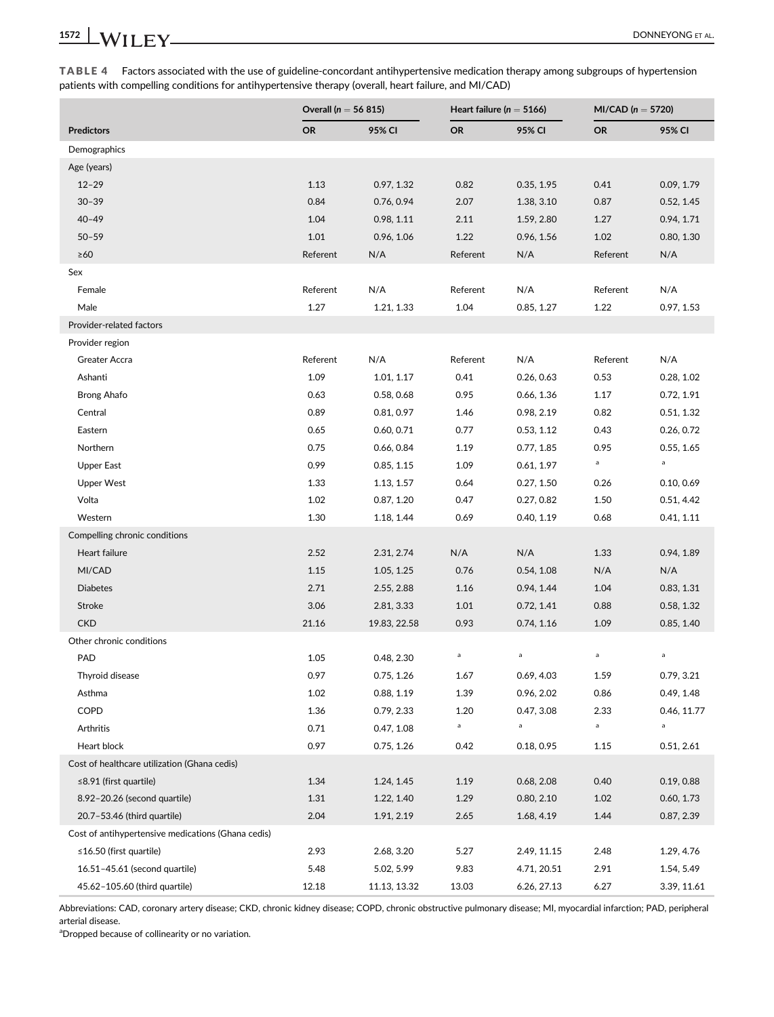TABLE 4 Factors associated with the use of guideline-concordant antihypertensive medication therapy among subgroups of hypertension patients with compelling conditions for antihypertensive therapy (overall, heart failure, and MI/CAD)

|                                                    | Overall ( $n = 56815$ ) |              | Heart failure ( $n = 5166$ ) |             | $MI/CAD (n = 5720)$ |             |
|----------------------------------------------------|-------------------------|--------------|------------------------------|-------------|---------------------|-------------|
| <b>Predictors</b>                                  | <b>OR</b>               | 95% CI       | <b>OR</b>                    | 95% CI      | <b>OR</b>           | 95% CI      |
| Demographics                                       |                         |              |                              |             |                     |             |
| Age (years)                                        |                         |              |                              |             |                     |             |
| $12 - 29$                                          | 1.13                    | 0.97, 1.32   | 0.82                         | 0.35, 1.95  | 0.41                | 0.09, 1.79  |
| $30 - 39$                                          | 0.84                    | 0.76, 0.94   | 2.07                         | 1.38, 3.10  | 0.87                | 0.52, 1.45  |
| $40 - 49$                                          | 1.04                    | 0.98, 1.11   | 2.11                         | 1.59, 2.80  | 1.27                | 0.94, 1.71  |
| $50 - 59$                                          | 1.01                    | 0.96, 1.06   | 1.22                         | 0.96, 1.56  | 1.02                | 0.80, 1.30  |
| $\geq 60$                                          | Referent                | N/A          | Referent                     | N/A         | Referent            | N/A         |
| Sex                                                |                         |              |                              |             |                     |             |
| Female                                             | Referent                | N/A          | Referent                     | N/A         | Referent            | N/A         |
| Male                                               | 1.27                    | 1.21, 1.33   | 1.04                         | 0.85, 1.27  | 1.22                | 0.97, 1.53  |
| Provider-related factors                           |                         |              |                              |             |                     |             |
| Provider region                                    |                         |              |                              |             |                     |             |
| Greater Accra                                      | Referent                | N/A          | Referent                     | N/A         | Referent            | N/A         |
| Ashanti                                            | 1.09                    | 1.01, 1.17   | 0.41                         | 0.26, 0.63  | 0.53                | 0.28, 1.02  |
| <b>Brong Ahafo</b>                                 | 0.63                    | 0.58, 0.68   | 0.95                         | 0.66, 1.36  | 1.17                | 0.72, 1.91  |
| Central                                            | 0.89                    | 0.81, 0.97   | 1.46                         | 0.98, 2.19  | 0.82                | 0.51, 1.32  |
| Eastern                                            | 0.65                    | 0.60, 0.71   | 0.77                         | 0.53, 1.12  | 0.43                | 0.26, 0.72  |
| Northern                                           | 0.75                    | 0.66, 0.84   | 1.19                         | 0.77, 1.85  | 0.95                | 0.55, 1.65  |
| <b>Upper East</b>                                  | 0.99                    | 0.85, 1.15   | 1.09                         | 0.61, 1.97  | $\mathsf{a}$        | $\mathsf a$ |
| <b>Upper West</b>                                  | 1.33                    | 1.13, 1.57   | 0.64                         | 0.27, 1.50  | 0.26                | 0.10, 0.69  |
| Volta                                              | 1.02                    | 0.87, 1.20   | 0.47                         | 0.27, 0.82  | 1.50                | 0.51, 4.42  |
| Western                                            | 1.30                    | 1.18, 1.44   | 0.69                         | 0.40, 1.19  | 0.68                | 0.41, 1.11  |
| Compelling chronic conditions                      |                         |              |                              |             |                     |             |
| Heart failure                                      | 2.52                    | 2.31, 2.74   | N/A                          | N/A         | 1.33                | 0.94, 1.89  |
| MI/CAD                                             | 1.15                    | 1.05, 1.25   | 0.76                         | 0.54, 1.08  | N/A                 | N/A         |
| <b>Diabetes</b>                                    | 2.71                    | 2.55, 2.88   | 1.16                         | 0.94, 1.44  | 1.04                | 0.83, 1.31  |
| Stroke                                             | 3.06                    | 2.81, 3.33   | 1.01                         | 0.72, 1.41  | 0.88                | 0.58, 1.32  |
| <b>CKD</b>                                         | 21.16                   | 19.83, 22.58 | 0.93                         | 0.74, 1.16  | 1.09                | 0.85, 1.40  |
| Other chronic conditions                           |                         |              |                              |             |                     |             |
| PAD                                                | 1.05                    | 0.48, 2.30   | a                            | $\mathsf a$ | $\mathsf a$         | a           |
| Thyroid disease                                    | 0.97                    | 0.75, 1.26   | 1.67                         | 0.69, 4.03  | 1.59                | 0.79, 3.21  |
| Asthma                                             | $1.02\,$                | 0.88, 1.19   | 1.39                         | 0.96, 2.02  | 0.86                | 0.49, 1.48  |
| COPD                                               | 1.36                    | 0.79, 2.33   | 1.20                         | 0.47, 3.08  | 2.33                | 0.46, 11.77 |
| Arthritis                                          | 0.71                    | 0.47, 1.08   | a                            | a           | $\mathsf{a}$        | a           |
| Heart block                                        | 0.97                    | 0.75, 1.26   | 0.42                         | 0.18, 0.95  | 1.15                | 0.51, 2.61  |
| Cost of healthcare utilization (Ghana cedis)       |                         |              |                              |             |                     |             |
| $\leq$ 8.91 (first quartile)                       | 1.34                    | 1.24, 1.45   | 1.19                         | 0.68, 2.08  | 0.40                | 0.19, 0.88  |
| 8.92-20.26 (second quartile)                       | 1.31                    | 1.22, 1.40   | 1.29                         | 0.80, 2.10  | 1.02                | 0.60, 1.73  |
| 20.7-53.46 (third quartile)                        | 2.04                    | 1.91, 2.19   | 2.65                         | 1.68, 4.19  | 1.44                | 0.87, 2.39  |
| Cost of antihypertensive medications (Ghana cedis) |                         |              |                              |             |                     |             |
| $\leq$ 16.50 (first quartile)                      | 2.93                    | 2.68, 3.20   | 5.27                         | 2.49, 11.15 | 2.48                | 1.29, 4.76  |
| 16.51-45.61 (second quartile)                      | 5.48                    | 5.02, 5.99   | 9.83                         | 4.71, 20.51 | 2.91                | 1.54, 5.49  |
| 45.62-105.60 (third quartile)                      | 12.18                   | 11.13, 13.32 | 13.03                        | 6.26, 27.13 | 6.27                | 3.39, 11.61 |

Abbreviations: CAD, coronary artery disease; CKD, chronic kidney disease; COPD, chronic obstructive pulmonary disease; MI, myocardial infarction; PAD, peripheral arterial disease.

<sup>a</sup>Dropped because of collinearity or no variation.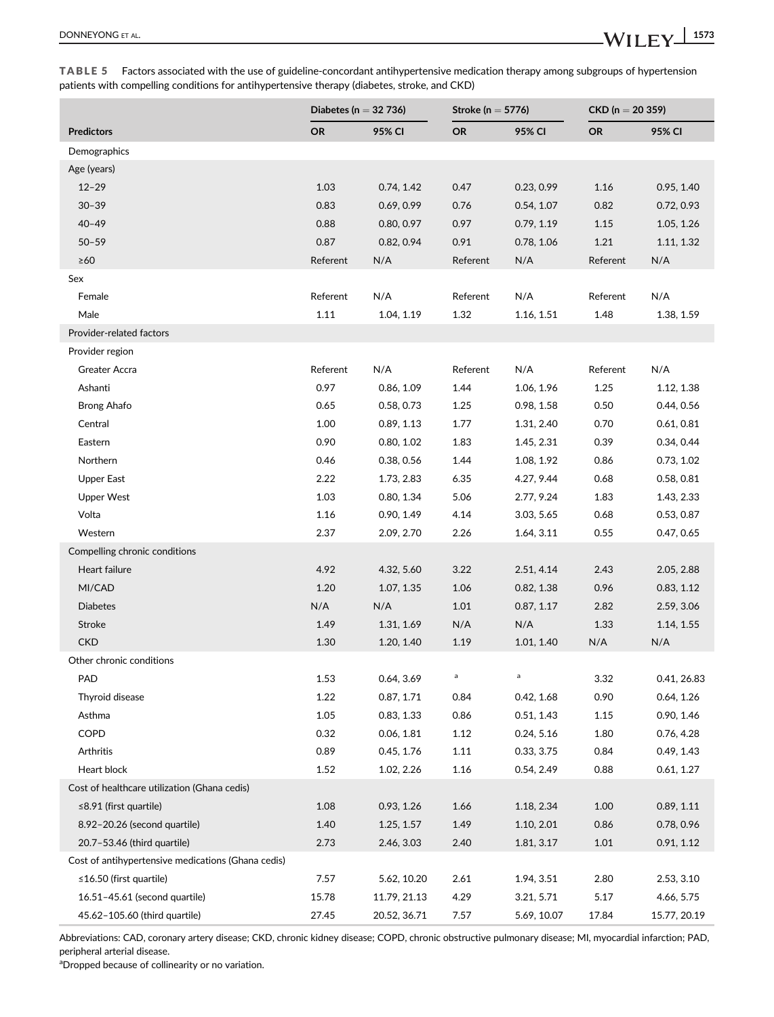|                                                    | Diabetes (n $=$ 32 736) |              | Stroke ( $n = 5776$ ) |             | $CKD (n = 20 359)$ |              |
|----------------------------------------------------|-------------------------|--------------|-----------------------|-------------|--------------------|--------------|
| <b>Predictors</b>                                  | <b>OR</b>               | 95% CI       | <b>OR</b>             | 95% CI      | <b>OR</b>          | 95% CI       |
| Demographics                                       |                         |              |                       |             |                    |              |
| Age (years)                                        |                         |              |                       |             |                    |              |
| $12 - 29$                                          | 1.03                    | 0.74, 1.42   | 0.47                  | 0.23, 0.99  | 1.16               | 0.95, 1.40   |
| $30 - 39$                                          | 0.83                    | 0.69, 0.99   | 0.76                  | 0.54, 1.07  | 0.82               | 0.72, 0.93   |
| $40 - 49$                                          | 0.88                    | 0.80, 0.97   | 0.97                  | 0.79, 1.19  | 1.15               | 1.05, 1.26   |
| $50 - 59$                                          | 0.87                    | 0.82, 0.94   | 0.91                  | 0.78, 1.06  | 1.21               | 1.11, 1.32   |
| $\geq 60$                                          | Referent                | N/A          | Referent              | N/A         | Referent           | N/A          |
| Sex                                                |                         |              |                       |             |                    |              |
| Female                                             | Referent                | N/A          | Referent              | N/A         | Referent           | N/A          |
| Male                                               | 1.11                    | 1.04, 1.19   | 1.32                  | 1.16, 1.51  | 1.48               | 1.38, 1.59   |
| Provider-related factors                           |                         |              |                       |             |                    |              |
| Provider region                                    |                         |              |                       |             |                    |              |
| Greater Accra                                      | Referent                | N/A          | Referent              | N/A         | Referent           | N/A          |
| Ashanti                                            | 0.97                    | 0.86, 1.09   | 1.44                  | 1.06, 1.96  | 1.25               | 1.12, 1.38   |
| Brong Ahafo                                        | 0.65                    | 0.58, 0.73   | 1.25                  | 0.98, 1.58  | 0.50               | 0.44, 0.56   |
| Central                                            | 1.00                    | 0.89, 1.13   | 1.77                  | 1.31, 2.40  | 0.70               | 0.61, 0.81   |
| Eastern                                            | 0.90                    | 0.80, 1.02   | 1.83                  | 1.45, 2.31  | 0.39               | 0.34, 0.44   |
| Northern                                           | 0.46                    | 0.38, 0.56   | 1.44                  | 1.08, 1.92  | 0.86               | 0.73, 1.02   |
| <b>Upper East</b>                                  | 2.22                    | 1.73, 2.83   | 6.35                  | 4.27, 9.44  | 0.68               | 0.58, 0.81   |
| <b>Upper West</b>                                  | 1.03                    | 0.80, 1.34   | 5.06                  | 2.77, 9.24  | 1.83               | 1.43, 2.33   |
| Volta                                              | 1.16                    | 0.90, 1.49   | 4.14                  | 3.03, 5.65  | 0.68               | 0.53, 0.87   |
| Western                                            | 2.37                    | 2.09, 2.70   | 2.26                  | 1.64, 3.11  | 0.55               | 0.47, 0.65   |
| Compelling chronic conditions                      |                         |              |                       |             |                    |              |
| Heart failure                                      | 4.92                    | 4.32, 5.60   | 3.22                  | 2.51, 4.14  | 2.43               | 2.05, 2.88   |
| MI/CAD                                             | 1.20                    | 1.07, 1.35   | 1.06                  | 0.82, 1.38  | 0.96               | 0.83, 1.12   |
| <b>Diabetes</b>                                    | N/A                     | N/A          | 1.01                  | 0.87, 1.17  | 2.82               | 2.59, 3.06   |
| Stroke                                             | 1.49                    | 1.31, 1.69   | N/A                   | N/A         | 1.33               | 1.14, 1.55   |
| <b>CKD</b>                                         | 1.30                    | 1.20, 1.40   | 1.19                  | 1.01, 1.40  | N/A                | N/A          |
| Other chronic conditions                           |                         |              |                       |             |                    |              |
| <b>PAD</b>                                         | 1.53                    | 0.64, 3.69   | $\mathsf a$           | a           | 3.32               | 0.41, 26.83  |
| Thyroid disease                                    | 1.22                    | 0.87, 1.71   | 0.84                  | 0.42, 1.68  | 0.90               | 0.64, 1.26   |
| Asthma                                             | 1.05                    | 0.83, 1.33   | 0.86                  | 0.51, 1.43  | 1.15               | 0.90, 1.46   |
| COPD                                               | 0.32                    | 0.06, 1.81   | 1.12                  | 0.24, 5.16  | 1.80               | 0.76, 4.28   |
| Arthritis                                          | 0.89                    | 0.45, 1.76   | 1.11                  | 0.33, 3.75  | 0.84               | 0.49, 1.43   |
| Heart block                                        | 1.52                    | 1.02, 2.26   | 1.16                  | 0.54, 2.49  | 0.88               | 0.61, 1.27   |
| Cost of healthcare utilization (Ghana cedis)       |                         |              |                       |             |                    |              |
| ≤8.91 (first quartile)                             | 1.08                    | 0.93, 1.26   | 1.66                  | 1.18, 2.34  | 1.00               | 0.89, 1.11   |
| 8.92-20.26 (second quartile)                       | 1.40                    | 1.25, 1.57   | 1.49                  | 1.10, 2.01  | 0.86               | 0.78, 0.96   |
| 20.7-53.46 (third quartile)                        | 2.73                    | 2.46, 3.03   | 2.40                  | 1.81, 3.17  | 1.01               | 0.91, 1.12   |
| Cost of antihypertensive medications (Ghana cedis) |                         |              |                       |             |                    |              |
| ≤16.50 (first quartile)                            | 7.57                    | 5.62, 10.20  | 2.61                  | 1.94, 3.51  | 2.80               | 2.53, 3.10   |
| 16.51-45.61 (second quartile)                      | 15.78                   | 11.79, 21.13 | 4.29                  | 3.21, 5.71  | 5.17               | 4.66, 5.75   |
| 45.62-105.60 (third quartile)                      | 27.45                   | 20.52, 36.71 | 7.57                  | 5.69, 10.07 | 17.84              | 15.77, 20.19 |

TABLE 5 Factors associated with the use of guideline-concordant antihypertensive medication therapy among subgroups of hypertension patients with compelling conditions for antihypertensive therapy (diabetes, stroke, and CKD)

Abbreviations: CAD, coronary artery disease; CKD, chronic kidney disease; COPD, chronic obstructive pulmonary disease; MI, myocardial infarction; PAD, peripheral arterial disease.

<sup>a</sup>Dropped because of collinearity or no variation.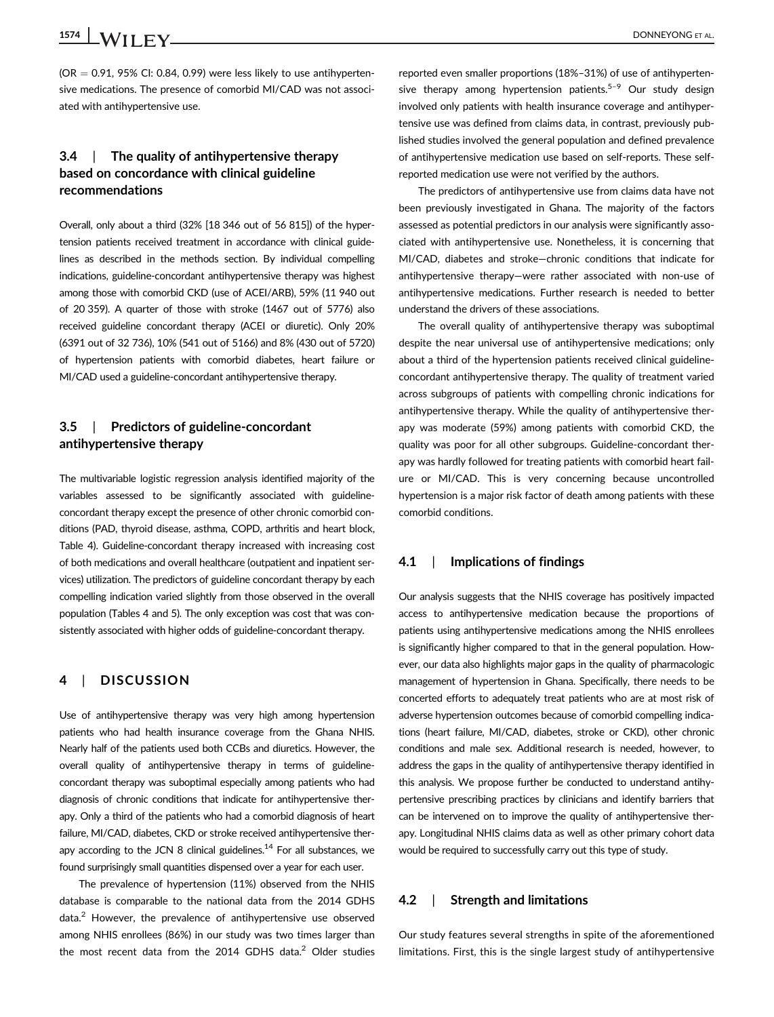## 1574 **LWII FY** DONNEYONG ET AL.

 $(OR = 0.91, 95\% \text{ Cl: } 0.84, 0.99)$  were less likely to use antihypertensive medications. The presence of comorbid MI/CAD was not associated with antihypertensive use.

### 3.4 | The quality of antihypertensive therapy based on concordance with clinical guideline recommendations

Overall, only about a third (32% [18 346 out of 56 815]) of the hypertension patients received treatment in accordance with clinical guidelines as described in the methods section. By individual compelling indications, guideline-concordant antihypertensive therapy was highest among those with comorbid CKD (use of ACEI/ARB), 59% (11 940 out of 20 359). A quarter of those with stroke (1467 out of 5776) also received guideline concordant therapy (ACEI or diuretic). Only 20% (6391 out of 32 736), 10% (541 out of 5166) and 8% (430 out of 5720) of hypertension patients with comorbid diabetes, heart failure or MI/CAD used a guideline-concordant antihypertensive therapy.

#### 3.5 | Predictors of guideline-concordant antihypertensive therapy

The multivariable logistic regression analysis identified majority of the variables assessed to be significantly associated with guidelineconcordant therapy except the presence of other chronic comorbid conditions (PAD, thyroid disease, asthma, COPD, arthritis and heart block, Table 4). Guideline-concordant therapy increased with increasing cost of both medications and overall healthcare (outpatient and inpatient services) utilization. The predictors of guideline concordant therapy by each compelling indication varied slightly from those observed in the overall population (Tables 4 and 5). The only exception was cost that was consistently associated with higher odds of guideline-concordant therapy.

#### 4 | DISCUSSION

Use of antihypertensive therapy was very high among hypertension patients who had health insurance coverage from the Ghana NHIS. Nearly half of the patients used both CCBs and diuretics. However, the overall quality of antihypertensive therapy in terms of guidelineconcordant therapy was suboptimal especially among patients who had diagnosis of chronic conditions that indicate for antihypertensive therapy. Only a third of the patients who had a comorbid diagnosis of heart failure, MI/CAD, diabetes, CKD or stroke received antihypertensive therapy according to the JCN 8 clinical guidelines.<sup>14</sup> For all substances, we found surprisingly small quantities dispensed over a year for each user.

The prevalence of hypertension (11%) observed from the NHIS database is comparable to the national data from the 2014 GDHS data.<sup>2</sup> However, the prevalence of antihypertensive use observed among NHIS enrollees (86%) in our study was two times larger than the most recent data from the 2014 GDHS data. $2$  Older studies reported even smaller proportions (18%–31%) of use of antihypertensive therapy among hypertension patients.<sup>5-9</sup> Our study design involved only patients with health insurance coverage and antihypertensive use was defined from claims data, in contrast, previously published studies involved the general population and defined prevalence of antihypertensive medication use based on self-reports. These selfreported medication use were not verified by the authors.

The predictors of antihypertensive use from claims data have not been previously investigated in Ghana. The majority of the factors assessed as potential predictors in our analysis were significantly associated with antihypertensive use. Nonetheless, it is concerning that MI/CAD, diabetes and stroke—chronic conditions that indicate for antihypertensive therapy—were rather associated with non-use of antihypertensive medications. Further research is needed to better understand the drivers of these associations.

The overall quality of antihypertensive therapy was suboptimal despite the near universal use of antihypertensive medications; only about a third of the hypertension patients received clinical guidelineconcordant antihypertensive therapy. The quality of treatment varied across subgroups of patients with compelling chronic indications for antihypertensive therapy. While the quality of antihypertensive therapy was moderate (59%) among patients with comorbid CKD, the quality was poor for all other subgroups. Guideline-concordant therapy was hardly followed for treating patients with comorbid heart failure or MI/CAD. This is very concerning because uncontrolled hypertension is a major risk factor of death among patients with these comorbid conditions.

#### 4.1 | Implications of findings

Our analysis suggests that the NHIS coverage has positively impacted access to antihypertensive medication because the proportions of patients using antihypertensive medications among the NHIS enrollees is significantly higher compared to that in the general population. However, our data also highlights major gaps in the quality of pharmacologic management of hypertension in Ghana. Specifically, there needs to be concerted efforts to adequately treat patients who are at most risk of adverse hypertension outcomes because of comorbid compelling indications (heart failure, MI/CAD, diabetes, stroke or CKD), other chronic conditions and male sex. Additional research is needed, however, to address the gaps in the quality of antihypertensive therapy identified in this analysis. We propose further be conducted to understand antihypertensive prescribing practices by clinicians and identify barriers that can be intervened on to improve the quality of antihypertensive therapy. Longitudinal NHIS claims data as well as other primary cohort data would be required to successfully carry out this type of study.

#### 4.2 | Strength and limitations

Our study features several strengths in spite of the aforementioned limitations. First, this is the single largest study of antihypertensive